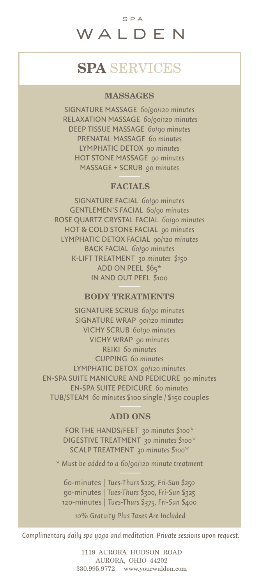# SPA SERVICES

## **MASSAGES**

SIGNATURE MASSAGE *60/90/120 minutes* RELAXATION MASSAGE *60/90/120 minutes* DEEP TISSUE MASSAGE *60/90 minutes* PRENATAL MASSAGE *60 minutes* LYMPHATIC DETOX *90 minutes* HOT STONE MASSAGE *90 minutes* MASSAGE + SCRUB *90 minutes*

### FACIALS

SIGNATURE FACIAL *60/90 minutes* GENTLEMEN'S FACIAL *60/90 minutes* ROSE QUARTZ CRYSTAL FACIAL *60/90 minutes* HOT & COLD STONE FACIAL *90 minutes* LYMPHATIC DETOX FACIAL *90/120 minutes* BACK FACIAL *60/90 minutes* K-LIFT TREATMENT *30 minutes \$150* ADD ON PEEL \$65\* IN AND OUT PEEL \$100

### BODY TREATMENTS

SIGNATURE SCRUB *60/90 minutes*  SIGNATURE WRAP *90/120 minutes* VICHY SCRUB *60/90 minutes* VICHY WRAP *90 minutes* REIKI *60 minutes* CUPPING *60 minutes* LYMPHATIC DETOX *90/120 minutes* EN-SPA SUITE MANICURE AND PEDICURE *90 minutes* EN-SPA SUITE PEDICURE *60 minutes* TUB/STEAM *60 minutes* \$100 single / \$150 couples

### ADD ONS

FOR THE HANDS/FEET *30 minutes \$100\** DIGESTIVE TREATMENT *30 minutes \$100\** SCALP TREATMENT *30 minutes \$100\**

*\* Must be added to a 60/90/120 minute treatment*

60-minutes | *Tues-Thurs \$225, Fri-Sun \$250* 90-minutes | *Tues-Thurs \$300, Fri-Sun \$325* 120-minutes | *Tues-Thurs \$375, Fri-Sun \$400*

*10% Gratuity Plus Taxes Are Included*

*Complimentary daily spa yoga and meditation. Private sessions upon request.*

1119 AURORA HUDSON ROAD AURORA, OHIO 44202 330.995.9772 www.yourwalden.com